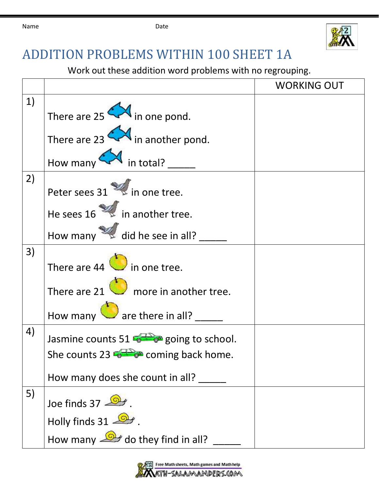

## ADDITION PROBLEMS WITHIN 100 SHEET 1A

Work out these addition word problems with no regrouping.

|    |                                               | <b>WORKING OUT</b> |
|----|-----------------------------------------------|--------------------|
| 1) | There are $25 \rightarrow$ in one pond.       |                    |
|    | There are 23 $\bigotimes$ in another pond.    |                    |
|    | How many M in total?                          |                    |
| 2) | Peter sees 31 in one tree.                    |                    |
|    | He sees $16 \times \ldots$ in another tree.   |                    |
|    | How many did he see in all?                   |                    |
| 3) | There are $44$ $\bullet$ in one tree.         |                    |
|    | There are 21 $\bigcirc$ more in another tree. |                    |
|    | How many $\bigcirc$ are there in all? __      |                    |
| 4) | Jasmine counts 51 5 going to school.          |                    |
|    | She counts 23 $\bullet$ coming back home.     |                    |
|    | How many does she count in all?               |                    |
| 5) | Joe finds 37                                  |                    |
|    | Holly finds $31 - 2$                          |                    |
|    | How many $\mathbb{R}$ do they find in all?    |                    |